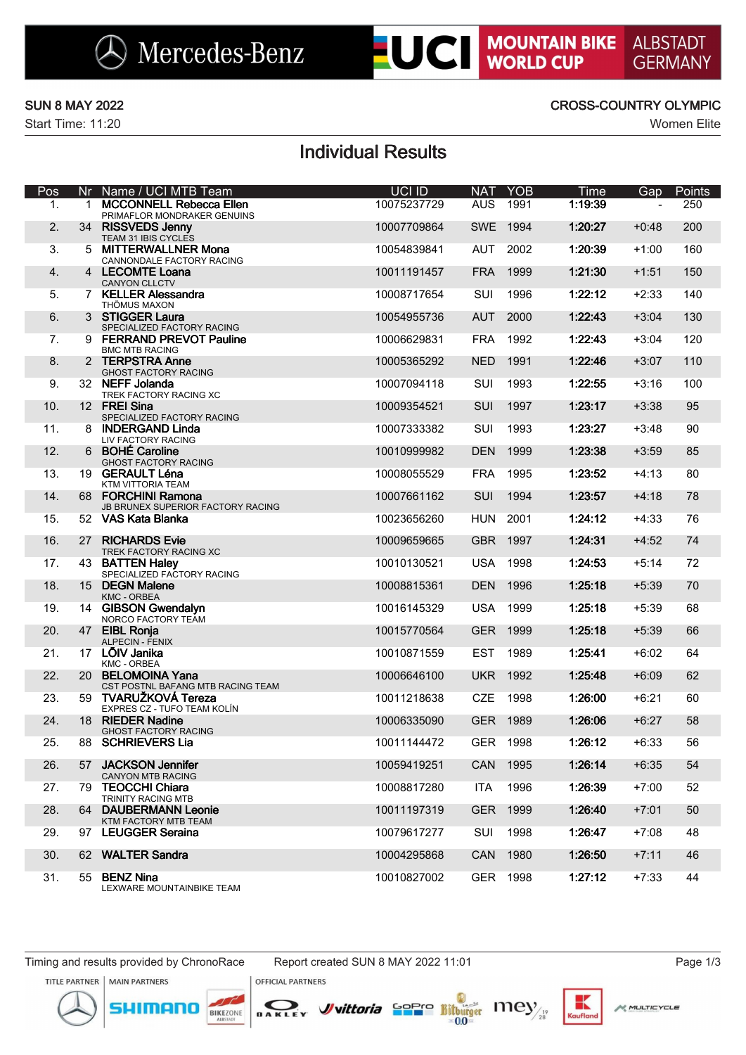# **LUCI MOUNTAIN BIKE**

Start Time: 11:20 Women Elite

### SUN 8 MAY 2022 CROSS-COUNTRY OLYMPIC

## Individual Results

| Pos | Nr           | Name / UCI MTB Team                                           | UCI ID      | <b>NAT</b> | <b>YOB</b> | <b>Time</b> | Gap     | Points |
|-----|--------------|---------------------------------------------------------------|-------------|------------|------------|-------------|---------|--------|
| 1.  | $\mathbf{1}$ | <b>MCCONNELL Rebecca Ellen</b><br>PRIMAFLOR MONDRAKER GENUINS | 10075237729 | <b>AUS</b> | 1991       | 1:19:39     |         | 250    |
| 2.  |              | 34 RISSVEDS Jenny<br>TEAM 31 IBIS CYCLES                      | 10007709864 | <b>SWE</b> | 1994       | 1:20:27     | $+0:48$ | 200    |
| 3.  | 5.           | <b>MITTERWALLNER Mona</b><br>CANNONDALE FACTORY RACING        | 10054839841 | <b>AUT</b> | 2002       | 1:20:39     | $+1:00$ | 160    |
| 4.  |              | 4 LECOMTE Loana<br><b>CANYON CLLCTV</b>                       | 10011191457 | <b>FRA</b> | 1999       | 1:21:30     | $+1:51$ | 150    |
| 5.  |              | 7 KELLER Alessandra<br>THÖMUS MAXON                           | 10008717654 | SUI        | 1996       | 1:22:12     | $+2:33$ | 140    |
| 6.  |              | 3 STIGGER Laura<br>SPECIALIZED FACTORY RACING                 | 10054955736 | <b>AUT</b> | 2000       | 1:22:43     | $+3:04$ | 130    |
| 7.  |              | 9 FERRAND PREVOT Pauline<br><b>BMC MTB RACING</b>             | 10006629831 | <b>FRA</b> | 1992       | 1:22:43     | $+3:04$ | 120    |
| 8.  |              | 2 TERPSTRA Anne<br><b>GHOST FACTORY RACING</b>                | 10005365292 | <b>NED</b> | 1991       | 1:22:46     | $+3:07$ | 110    |
| 9.  |              | 32 NEFF Jolanda<br>TREK FACTORY RACING XC                     | 10007094118 | SUI        | 1993       | 1:22:55     | $+3:16$ | 100    |
| 10. |              | 12 FREI Sina<br>SPECIALIZED FACTORY RACING                    | 10009354521 | SUI        | 1997       | 1:23:17     | $+3:38$ | 95     |
| 11. |              | 8 INDERGAND Linda<br>LIV FACTORY RACING                       | 10007333382 | SUI        | 1993       | 1:23:27     | $+3:48$ | 90     |
| 12. |              | 6 BOHÉ Caroline<br>GHOST FACTORY RACING                       | 10010999982 | <b>DEN</b> | 1999       | 1:23:38     | $+3:59$ | 85     |
| 13. |              | 19 GERAULT Léna<br>KTM VITTORIA TEAM                          | 10008055529 | <b>FRA</b> | 1995       | 1:23:52     | $+4:13$ | 80     |
| 14. |              | 68 FORCHINI Ramona<br>JB BRUNEX SUPERIOR FACTORY RACING       | 10007661162 | SUI        | 1994       | 1:23:57     | $+4:18$ | 78     |
| 15. |              | 52 VAS Kata Blanka                                            | 10023656260 | <b>HUN</b> | 2001       | 1:24:12     | $+4:33$ | 76     |
| 16. | 27           | <b>RICHARDS Evie</b><br>TREK FACTORY RACING XC                | 10009659665 | <b>GBR</b> | 1997       | 1:24:31     | $+4:52$ | 74     |
| 17. |              | 43 BATTEN Haley<br>SPECIALIZED FACTORY RACING                 | 10010130521 | <b>USA</b> | 1998       | 1:24:53     | $+5:14$ | 72     |
| 18. |              | 15 DEGN Malene<br>KMC - ORBEA                                 | 10008815361 | <b>DEN</b> | 1996       | 1:25:18     | $+5:39$ | 70     |
| 19. |              | 14 GIBSON Gwendalyn<br>NORCO FACTORY TEAM                     | 10016145329 | <b>USA</b> | 1999       | 1:25:18     | $+5:39$ | 68     |
| 20. |              | 47 EIBL Ronja<br>ALPECIN - FENIX                              | 10015770564 | <b>GER</b> | 1999       | 1:25:18     | $+5:39$ | 66     |
| 21. |              | 17 LÕIV Janika<br><b>KMC - ORBEA</b>                          | 10010871559 | <b>EST</b> | 1989       | 1:25:41     | $+6:02$ | 64     |
| 22. |              | 20 BELOMOINA Yana<br>CST POSTNL BAFANG MTB RACING TEAM        | 10006646100 | <b>UKR</b> | 1992       | 1:25:48     | $+6:09$ | 62     |
| 23. | 59           | TVARUŽKOVÁ Tereza<br>EXPRES CZ - TUFO TEAM KOLÍN              | 10011218638 | <b>CZE</b> | 1998       | 1:26:00     | $+6:21$ | 60     |
| 24. |              | 18 RIEDER Nadine<br><b>GHOST FACTORY RACING</b>               | 10006335090 | <b>GER</b> | 1989       | 1:26:06     | $+6:27$ | 58     |
| 25. | 88.          | <b>SCHRIEVERS Lia</b>                                         | 10011144472 | <b>GER</b> | 1998       | 1:26:12     | $+6:33$ | 56     |
| 26. | 57           | <b>JACKSON Jennifer</b><br><b>CANYON MTB RACING</b>           | 10059419251 | <b>CAN</b> | 1995       | 1:26:14     | $+6:35$ | 54     |
| 27. | 79.          | <b>TEOCCHI Chiara</b><br>TRINITY RACING MTB                   | 10008817280 | ITA        | 1996       | 1:26:39     | $+7:00$ | 52     |
| 28. |              | 64 DAUBERMANN Leonie<br>KTM FACTORY MTB TEAM                  | 10011197319 | <b>GER</b> | 1999       | 1:26:40     | $+7:01$ | 50     |
| 29. |              | 97 LEUGGER Seraina                                            | 10079617277 | SUI        | 1998       | 1:26:47     | $+7:08$ | 48     |
| 30. |              | 62 WALTER Sandra                                              | 10004295868 | CAN        | 1980       | 1:26:50     | $+7:11$ | 46     |
| 31. |              | 55 BENZ Nina<br>LEXWARE MOUNTAINBIKE TEAM                     | 10010827002 |            | GER 1998   | 1:27:12     | $+7:33$ | 44     |

**OFFICIAL PARTNERS** 





BIKEZONE



 $\epsilon$ <sub>cu if</sub>ic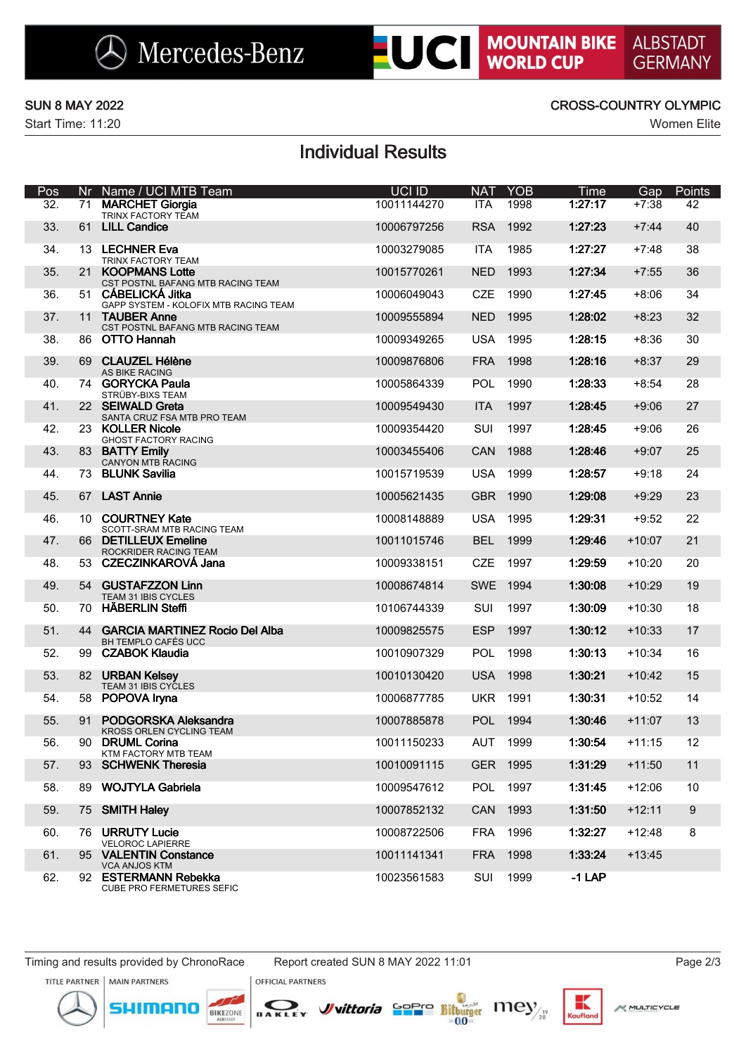# **LUCI MOUNTAIN BIKE**

Start Time: 11:20 Women Elite

### SUN 8 MAY 2022 CROSS-COUNTRY OLYMPIC

## Individual Results

| Pos               | Nr | Name / UCI MTB Team                                          | UCI ID      | <b>NAT</b> | <b>YOB</b> | Time     | Gap      | Points |
|-------------------|----|--------------------------------------------------------------|-------------|------------|------------|----------|----------|--------|
| $\overline{32}$ . | 71 | <b>MARCHET Giorgia</b><br>TRINX FACTORY TEAM                 | 10011144270 | <b>ITA</b> | 1998       | 1:27:17  | $+7:38$  | 42     |
| 33.               | 61 | <b>LILL Candice</b>                                          | 10006797256 | <b>RSA</b> | 1992       | 1:27:23  | $+7:44$  | 40     |
| 34.               |    | 13 LECHNER Eva<br>TRINX FACTORY TEAM                         | 10003279085 | <b>ITA</b> | 1985       | 1:27:27  | $+7:48$  | 38     |
| 35.               | 21 | <b>KOOPMANS Lotte</b><br>CST POSTNL BAFANG MTB RACING TEAM   | 10015770261 | <b>NED</b> | 1993       | 1:27:34  | $+7:55$  | 36     |
| 36.               |    | 51 CÁBELICKÁ Jitka<br>GAPP SYSTEM - KOLOFIX MTB RACING TEAM  | 10006049043 | <b>CZE</b> | 1990       | 1:27:45  | $+8:06$  | 34     |
| 37.               |    | 11 TAUBER Anne<br>CST POSTNL BAFANG MTB RACING TEAM          | 10009555894 | <b>NED</b> | 1995       | 1:28:02  | $+8:23$  | 32     |
| 38.               |    | 86 OTTO Hannah                                               | 10009349265 | <b>USA</b> | 1995       | 1:28:15  | $+8:36$  | 30     |
| 39.               | 69 | <b>CLAUZEL Hélène</b><br>AS BIKE RACING                      | 10009876806 | <b>FRA</b> | 1998       | 1:28:16  | $+8:37$  | 29     |
| 40.               |    | 74 GORYCKA Paula<br>STRÜBY-BIXS TEAM                         | 10005864339 | POL        | 1990       | 1:28:33  | $+8:54$  | 28     |
| 41.               |    | 22 SEIWALD Greta<br>SANTA CRUZ FSA MTB PRO TEAM              | 10009549430 | <b>ITA</b> | 1997       | 1:28:45  | $+9:06$  | 27     |
| 42.               |    | 23 KOLLER Nicole<br>GHOST FACTORY RACING                     | 10009354420 | SUI        | 1997       | 1:28:45  | $+9:06$  | 26     |
| 43.               |    | 83 BATTY Emily<br>CANYON MTB RACING                          | 10003455406 | <b>CAN</b> | 1988       | 1:28:46  | $+9:07$  | 25     |
| 44.               | 73 | <b>BLUNK Savilia</b>                                         | 10015719539 | <b>USA</b> | 1999       | 1:28:57  | $+9:18$  | 24     |
| 45.               |    | 67 LAST Annie                                                | 10005621435 | <b>GBR</b> | 1990       | 1:29:08  | $+9:29$  | 23     |
| 46.               | 10 | <b>COURTNEY Kate</b><br><b>SCOTT-SRAM MTB RACING TEAM</b>    | 10008148889 | <b>USA</b> | 1995       | 1:29:31  | $+9:52$  | 22     |
| 47.               |    | 66 DETILLEUX Emeline<br>ROCKRIDER RACING TEAM                | 10011015746 | <b>BEL</b> | 1999       | 1:29:46  | $+10:07$ | 21     |
| 48.               |    | 53 CZECZINKAROVÁ Jana                                        | 10009338151 | <b>CZE</b> | 1997       | 1:29:59  | $+10:20$ | 20     |
| 49.               | 54 | <b>GUSTAFZZON Linn</b><br>TEAM 31 IBIS CYCLES                | 10008674814 | <b>SWE</b> | 1994       | 1:30:08  | $+10:29$ | 19     |
| 50.               | 70 | <b>HÄBERLIN Steffi</b>                                       | 10106744339 | SUI        | 1997       | 1:30:09  | $+10:30$ | 18     |
| 51.               | 44 | <b>GARCIA MARTINEZ Rocio Del Alba</b><br>BH TEMPLO CAFÉS UCC | 10009825575 | <b>ESP</b> | 1997       | 1:30:12  | $+10:33$ | 17     |
| 52.               | 99 | <b>CZABOK Klaudia</b>                                        | 10010907329 | <b>POL</b> | 1998       | 1:30:13  | $+10:34$ | 16     |
| 53.               | 82 | <b>URBAN Kelsey</b><br>TEAM 31 IBIS CYCLES                   | 10010130420 | <b>USA</b> | 1998       | 1:30:21  | $+10:42$ | 15     |
| 54.               | 58 | POPOVA Iryna                                                 | 10006877785 | <b>UKR</b> | 1991       | 1:30:31  | $+10:52$ | 14     |
| 55.               | 91 | PODGORSKA Aleksandra<br>KROSS ORLEN CYCLING TEAM             | 10007885878 | POL        | 1994       | 1:30:46  | $+11:07$ | 13     |
| 56.               |    | 90 DRUML Corina<br>KTM FACTORY MTB TEAM                      | 10011150233 | AUT 1999   |            | 1:30:54  | $+11:15$ | 12     |
| 57.               |    | 93 SCHWENK Theresia                                          | 10010091115 |            | GER 1995   | 1:31:29  | $+11:50$ | 11     |
| 58.               |    | 89 WOJTYLA Gabriela                                          | 10009547612 |            | POL 1997   | 1:31:45  | $+12:06$ | 10     |
| 59.               |    | 75 SMITH Haley                                               | 10007852132 | CAN        | 1993       | 1:31:50  | $+12:11$ | 9      |
| 60.               |    | 76 URRUTY Lucie<br><b>VELOROC LAPIERRE</b>                   | 10008722506 |            | FRA 1996   | 1:32:27  | $+12:48$ | 8      |
| 61.               |    | 95 VALENTIN Constance<br><b>VCA ANJOS KTM</b>                | 10011141341 | <b>FRA</b> | 1998       | 1:33:24  | $+13:45$ |        |
| 62.               |    | 92 ESTERMANN Rebekka<br><b>CUBE PRO FERMETURES SEFIC</b>     | 10023561583 | SUI        | 1999       | $-1$ LAP |          |        |

Timing and results provided by ChronoRace Report created SUN 8 MAY 2022 11:01 Page 2/3

mor





**OFFICIAL PARTNERS** 

DAKLEY

BIKEZONE

*J*uittoria Sappe Bitburger 111ey



к